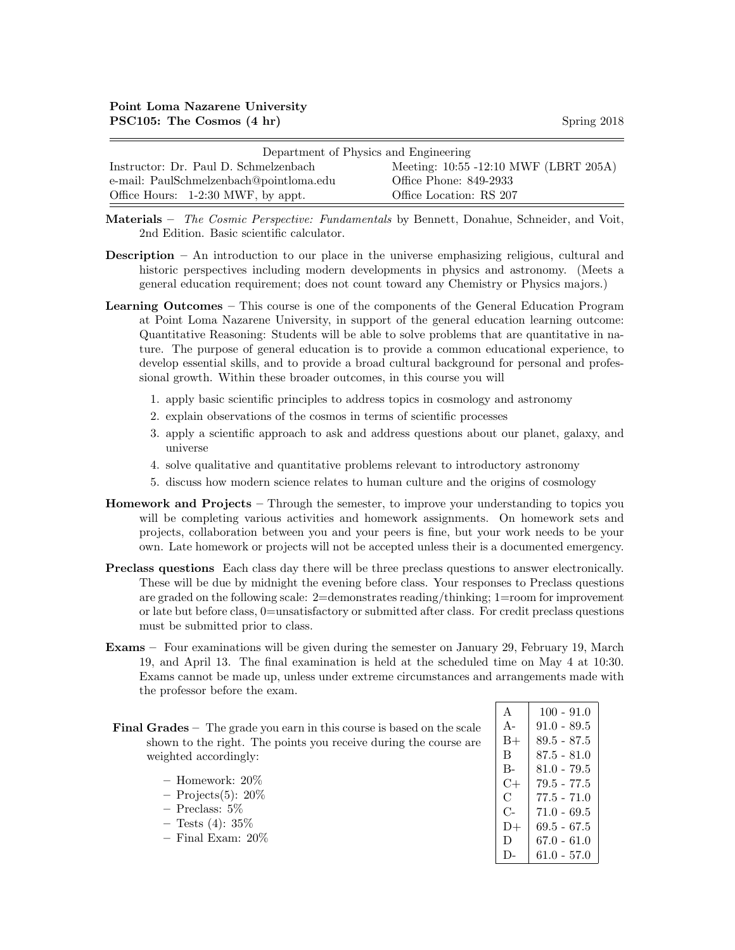| Department of Physics and Engineering   |                                       |  |  |  |
|-----------------------------------------|---------------------------------------|--|--|--|
| Instructor: Dr. Paul D. Schmelzenbach   | Meeting: 10:55 -12:10 MWF (LBRT 205A) |  |  |  |
| e-mail: PaulSchmelzenbach@pointloma.edu | Office Phone: 849-2933                |  |  |  |
| Office Hours: 1-2:30 MWF, by appt.      | Office Location: RS 207               |  |  |  |

Materials – The Cosmic Perspective: Fundamentals by Bennett, Donahue, Schneider, and Voit, 2nd Edition. Basic scientific calculator.

- Description An introduction to our place in the universe emphasizing religious, cultural and historic perspectives including modern developments in physics and astronomy. (Meets a general education requirement; does not count toward any Chemistry or Physics majors.)
- Learning Outcomes This course is one of the components of the General Education Program at Point Loma Nazarene University, in support of the general education learning outcome: Quantitative Reasoning: Students will be able to solve problems that are quantitative in nature. The purpose of general education is to provide a common educational experience, to develop essential skills, and to provide a broad cultural background for personal and professional growth. Within these broader outcomes, in this course you will
	- 1. apply basic scientific principles to address topics in cosmology and astronomy
	- 2. explain observations of the cosmos in terms of scientific processes
	- 3. apply a scientific approach to ask and address questions about our planet, galaxy, and universe
	- 4. solve qualitative and quantitative problems relevant to introductory astronomy
	- 5. discuss how modern science relates to human culture and the origins of cosmology
- Homework and Projects Through the semester, to improve your understanding to topics you will be completing various activities and homework assignments. On homework sets and projects, collaboration between you and your peers is fine, but your work needs to be your own. Late homework or projects will not be accepted unless their is a documented emergency.
- Preclass questions Each class day there will be three preclass questions to answer electronically. These will be due by midnight the evening before class. Your responses to Preclass questions are graded on the following scale: 2=demonstrates reading/thinking; 1=room for improvement or late but before class, 0=unsatisfactory or submitted after class. For credit preclass questions must be submitted prior to class.
- Exams Four examinations will be given during the semester on January 29, February 19, March 19, and April 13. The final examination is held at the scheduled time on May 4 at 10:30. Exams cannot be made up, unless under extreme circumstances and arrangements made with the professor before the exam.

|                       | <b>Final Grades</b> – The grade you earn in this course is based on the scale |  |
|-----------------------|-------------------------------------------------------------------------------|--|
|                       | shown to the right. The points you receive during the course are              |  |
| weighted accordingly: |                                                                               |  |

| - Homework: $20\%$    |
|-----------------------|
| $-$ Projects(5): 20\% |
| $-$ Preclass: 5\%     |
| $-$ Tests (4): $35\%$ |
| $-$ Final Exam: 20%   |
|                       |

| $\mathsf{A}$ | $100 - 91.0$  |
|--------------|---------------|
| $A -$        | $91.0 - 89.5$ |
| $_{\rm B+}$  | 89.5 - 87.5   |
| B            | 87.5 - 81.0   |
| В-           | 81.0 - 79.5   |
| C+           | 79.5 - 77.5   |
| C            | $77.5 - 71.0$ |
| $C_{\Xi}$    | $71.0 - 69.5$ |
| D+           | 69.5 - 67.5   |
| D            | 67.0 - 61.0   |
| $\mathsf{I}$ | $61.0 - 57.0$ |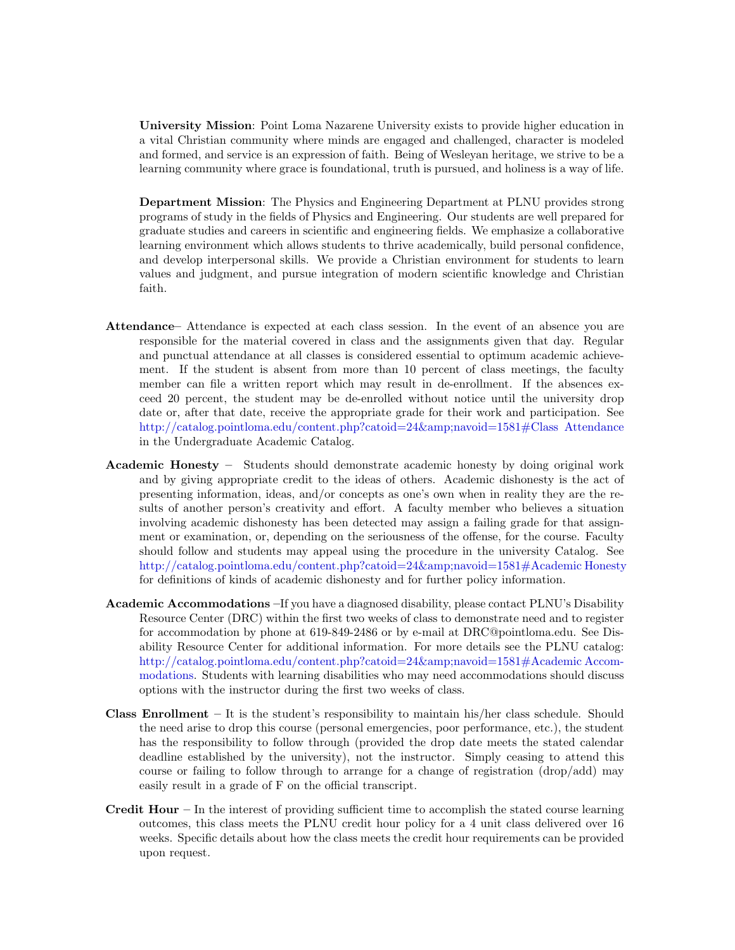University Mission: Point Loma Nazarene University exists to provide higher education in a vital Christian community where minds are engaged and challenged, character is modeled and formed, and service is an expression of faith. Being of Wesleyan heritage, we strive to be a learning community where grace is foundational, truth is pursued, and holiness is a way of life.

Department Mission: The Physics and Engineering Department at PLNU provides strong programs of study in the fields of Physics and Engineering. Our students are well prepared for graduate studies and careers in scientific and engineering fields. We emphasize a collaborative learning environment which allows students to thrive academically, build personal confidence, and develop interpersonal skills. We provide a Christian environment for students to learn values and judgment, and pursue integration of modern scientific knowledge and Christian faith.

- Attendance– Attendance is expected at each class session. In the event of an absence you are responsible for the material covered in class and the assignments given that day. Regular and punctual attendance at all classes is considered essential to optimum academic achievement. If the student is absent from more than 10 percent of class meetings, the faculty member can file a written report which may result in de-enrollment. If the absences exceed 20 percent, the student may be de-enrolled without notice until the university drop date or, after that date, receive the appropriate grade for their work and participation. See http://catalog.pointloma.edu/content.php?catoid=24&amp:navoid=1581#Class Attendance in the Undergraduate Academic Catalog.
- Academic Honesty Students should demonstrate academic honesty by doing original work and by giving appropriate credit to the ideas of others. Academic dishonesty is the act of presenting information, ideas, and/or concepts as one's own when in reality they are the results of another person's creativity and effort. A faculty member who believes a situation involving academic dishonesty has been detected may assign a failing grade for that assignment or examination, or, depending on the seriousness of the offense, for the course. Faculty should follow and students may appeal using the procedure in the university Catalog. See [http://catalog.pointloma.edu/content.php?catoid=24&navoid=1581#Academic Honesty](http://catalog.pointloma.edu/content.php?catoid=24&navoid=1581) for definitions of kinds of academic dishonesty and for further policy information.
- Academic Accommodations –If you have a diagnosed disability, please contact PLNU's Disability Resource Center (DRC) within the first two weeks of class to demonstrate need and to register for accommodation by phone at 619-849-2486 or by e-mail at DRC@pointloma.edu. See Disability Resource Center for additional information. For more details see the PLNU catalog: http://catalog.pointloma.edu/content.php?catoid=24&amp:navoid=1581#Academic Accom[modations.](http://catalog.pointloma.edu/content.php?catoid=24&navoid=1581) Students with learning disabilities who may need accommodations should discuss options with the instructor during the first two weeks of class.
- **Class Enrollment** It is the student's responsibility to maintain his/her class schedule. Should the need arise to drop this course (personal emergencies, poor performance, etc.), the student has the responsibility to follow through (provided the drop date meets the stated calendar deadline established by the university), not the instructor. Simply ceasing to attend this course or failing to follow through to arrange for a change of registration (drop/add) may easily result in a grade of F on the official transcript.
- **Credit Hour** In the interest of providing sufficient time to accomplish the stated course learning outcomes, this class meets the PLNU credit hour policy for a 4 unit class delivered over 16 weeks. Specific details about how the class meets the credit hour requirements can be provided upon request.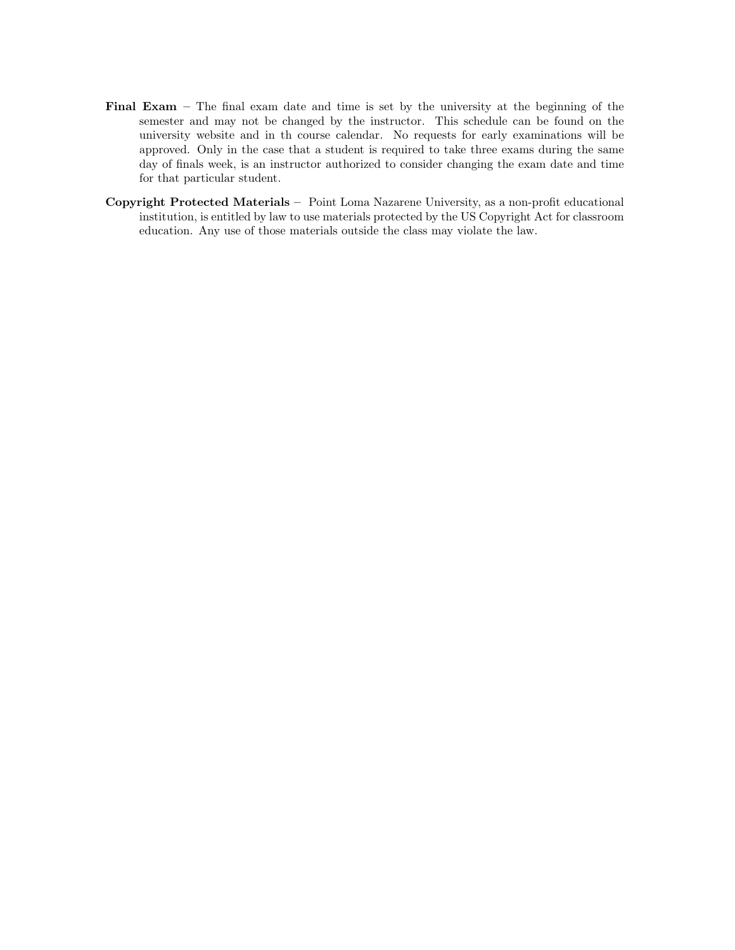- Final Exam The final exam date and time is set by the university at the beginning of the semester and may not be changed by the instructor. This schedule can be found on the university website and in th course calendar. No requests for early examinations will be approved. Only in the case that a student is required to take three exams during the same day of finals week, is an instructor authorized to consider changing the exam date and time for that particular student.
- Copyright Protected Materials Point Loma Nazarene University, as a non-profit educational institution, is entitled by law to use materials protected by the US Copyright Act for classroom education. Any use of those materials outside the class may violate the law.